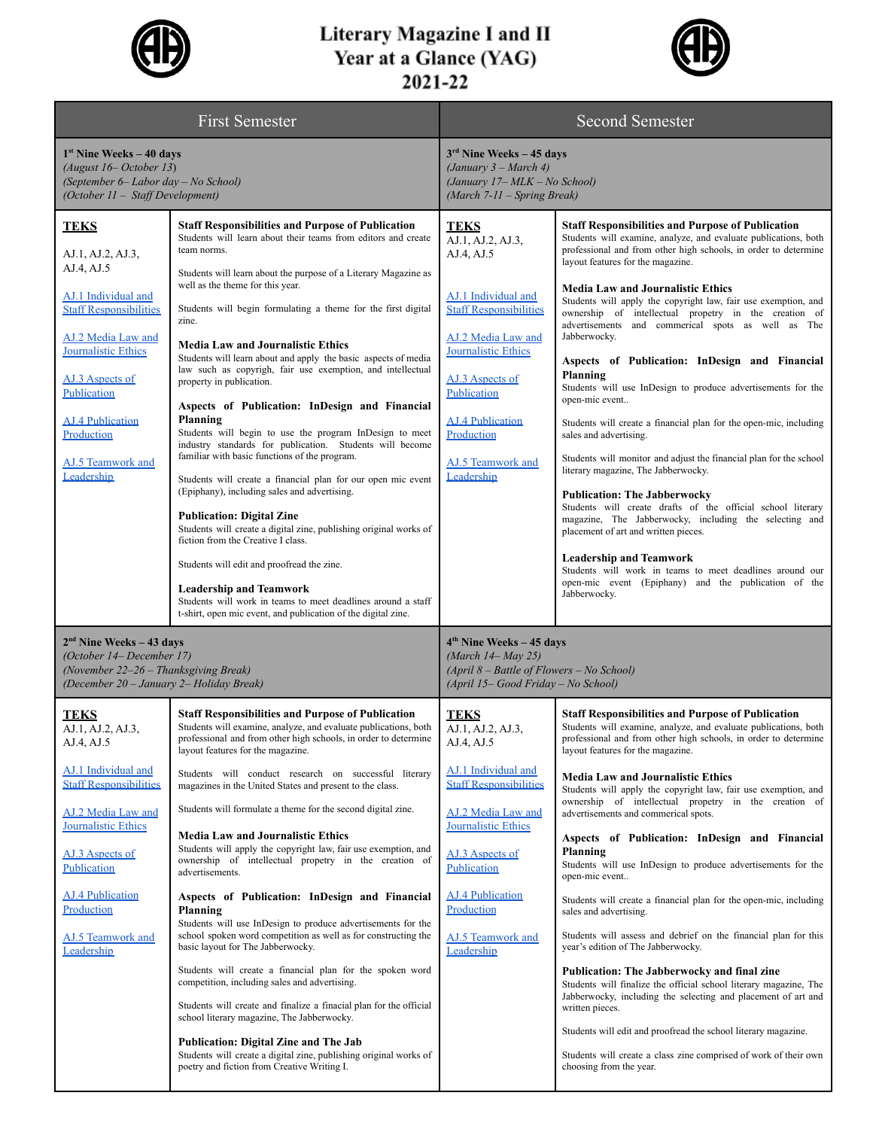

## Literary Magazine I and II<br>Year at a Glance (YAG)<br>2021-22



| <b>First Semester</b>                                                                                                                                                                                                                                             |                                                                                                                                                                                                                                                                                                                                                                                                                                                                                                                                                                                                                                                                                                                                                                                                                                                                                                                                                                                                                                                                                                                                                                                                                                                         | <b>Second Semester</b>                                                                                                                                                                                                                                            |                                                                                                                                                                                                                                                                                                                                                                                                                                                                                                                                                                                                                                                                                                                                                                                                                                                                                                                                                                                                                                                                                                                                                                                                                            |  |
|-------------------------------------------------------------------------------------------------------------------------------------------------------------------------------------------------------------------------------------------------------------------|---------------------------------------------------------------------------------------------------------------------------------------------------------------------------------------------------------------------------------------------------------------------------------------------------------------------------------------------------------------------------------------------------------------------------------------------------------------------------------------------------------------------------------------------------------------------------------------------------------------------------------------------------------------------------------------------------------------------------------------------------------------------------------------------------------------------------------------------------------------------------------------------------------------------------------------------------------------------------------------------------------------------------------------------------------------------------------------------------------------------------------------------------------------------------------------------------------------------------------------------------------|-------------------------------------------------------------------------------------------------------------------------------------------------------------------------------------------------------------------------------------------------------------------|----------------------------------------------------------------------------------------------------------------------------------------------------------------------------------------------------------------------------------------------------------------------------------------------------------------------------------------------------------------------------------------------------------------------------------------------------------------------------------------------------------------------------------------------------------------------------------------------------------------------------------------------------------------------------------------------------------------------------------------------------------------------------------------------------------------------------------------------------------------------------------------------------------------------------------------------------------------------------------------------------------------------------------------------------------------------------------------------------------------------------------------------------------------------------------------------------------------------------|--|
| $1st$ Nine Weeks – 40 days<br>$(August 16-October 13)$<br>(September 6-Labor day - No School)<br>(October 11 - Staff Development)                                                                                                                                 |                                                                                                                                                                                                                                                                                                                                                                                                                                                                                                                                                                                                                                                                                                                                                                                                                                                                                                                                                                                                                                                                                                                                                                                                                                                         | $3rd$ Nine Weeks - 45 days<br>$(January 3 - March 4)$<br>(January 17-MLK - No School)<br>$(March 7-11 - Spring Break)$                                                                                                                                            |                                                                                                                                                                                                                                                                                                                                                                                                                                                                                                                                                                                                                                                                                                                                                                                                                                                                                                                                                                                                                                                                                                                                                                                                                            |  |
| <b>TEKS</b><br>AJ.1, AJ.2, AJ.3,<br>AJ.4, AJ.5<br>AJ.1 Individual and<br><b>Staff Responsibilities</b><br>AJ.2 Media Law and<br>Journalistic Ethics<br>AJ.3 Aspects of<br>Publication<br><b>AJ.4 Publication</b><br>Production<br>AJ.5 Teamwork and<br>Leadership | <b>Staff Responsibilities and Purpose of Publication</b><br>Students will learn about their teams from editors and create<br>team norms.<br>Students will learn about the purpose of a Literary Magazine as<br>well as the theme for this year.<br>Students will begin formulating a theme for the first digital<br>zine.<br><b>Media Law and Journalistic Ethics</b><br>Students will learn about and apply the basic aspects of media<br>law such as copyrigh, fair use exemption, and intellectual<br>property in publication.<br>Aspects of Publication: InDesign and Financial<br>Planning<br>Students will begin to use the program InDesign to meet<br>industry standards for publication. Students will become<br>familiar with basic functions of the program.<br>Students will create a financial plan for our open mic event<br>(Epiphany), including sales and advertising.<br><b>Publication: Digital Zine</b><br>Students will create a digital zine, publishing original works of<br>fiction from the Creative I class.<br>Students will edit and proofread the zine.<br><b>Leadership and Teamwork</b><br>Students will work in teams to meet deadlines around a staff<br>t-shirt, open mic event, and publication of the digital zine. | <b>TEKS</b><br>AJ.1, AJ.2, AJ.3,<br>AJ.4, AJ.5<br>AJ.1 Individual and<br><b>Staff Responsibilities</b><br>AJ.2 Media Law and<br>Journalistic Ethics<br>AJ.3 Aspects of<br>Publication<br><b>AJ.4 Publication</b><br>Production<br>AJ.5 Teamwork and<br>Leadership | <b>Staff Responsibilities and Purpose of Publication</b><br>Students will examine, analyze, and evaluate publications, both<br>professional and from other high schools, in order to determine<br>layout features for the magazine.<br><b>Media Law and Journalistic Ethics</b><br>Students will apply the copyright law, fair use exemption, and<br>ownership of intellectual propetry in the creation of<br>advertisements and commerical spots as well as The<br>Jabberwocky.<br>Aspects of Publication: InDesign and Financial<br>Planning<br>Students will use InDesign to produce advertisements for the<br>open-mic event<br>Students will create a financial plan for the open-mic, including<br>sales and advertising.<br>Students will monitor and adjust the financial plan for the school<br>literary magazine, The Jabberwocky.<br><b>Publication: The Jabberwocky</b><br>Students will create drafts of the official school literary<br>magazine, The Jabberwocky, including the selecting and<br>placement of art and written pieces.<br><b>Leadership and Teamwork</b><br>Students will work in teams to meet deadlines around our<br>open-mic event (Epiphany) and the publication of the<br>Jabberwocky. |  |
| $2nd$ Nine Weeks – 43 days<br>(October 14– December 17)<br>(November 22–26 – Thanksgiving Break)<br>(December 20 - January 2- Holiday Break)                                                                                                                      |                                                                                                                                                                                                                                                                                                                                                                                                                                                                                                                                                                                                                                                                                                                                                                                                                                                                                                                                                                                                                                                                                                                                                                                                                                                         | $4th$ Nine Weeks – 45 days<br>(March $14 - May 25$ )<br>(April 8 - Battle of Flowers - No School)<br>(April 15– Good Friday – No School)                                                                                                                          |                                                                                                                                                                                                                                                                                                                                                                                                                                                                                                                                                                                                                                                                                                                                                                                                                                                                                                                                                                                                                                                                                                                                                                                                                            |  |
| TEKS<br>AJ.1, AJ.2, AJ.3,<br>AJ.4, AJ.5<br>AJ.1 Individual and<br><b>Staff Responsibilities</b><br>AJ.2 Media Law and<br>Journalistic Ethics<br>AJ.3 Aspects of<br>Publication<br><b>AJ.4 Publication</b><br>Production<br>AJ.5 Teamwork and<br>Leadership        | <b>Staff Responsibilities and Purpose of Publication</b><br>Students will examine, analyze, and evaluate publications, both<br>professional and from other high schools, in order to determine<br>layout features for the magazine.<br>Students will conduct research on successful literary<br>magazines in the United States and present to the class.<br>Students will formulate a theme for the second digital zine.<br><b>Media Law and Journalistic Ethics</b><br>Students will apply the copyright law, fair use exemption, and<br>ownership of intellectual propetry in the creation of<br>advertisements.<br>Aspects of Publication: InDesign and Financial<br>Planning<br>Students will use InDesign to produce advertisements for the<br>school spoken word competition as well as for constructing the<br>basic layout for The Jabberwocky.<br>Students will create a financial plan for the spoken word<br>competition, including sales and advertising.<br>Students will create and finalize a finacial plan for the official<br>school literary magazine, The Jabberwocky.                                                                                                                                                               | <b>TEKS</b><br>AJ.1, AJ.2, AJ.3,<br>AJ.4, AJ.5<br>AJ.1 Individual and<br><b>Staff Responsibilities</b><br>AJ.2 Media Law and<br>Journalistic Ethics<br>AJ.3 Aspects of<br>Publication<br><b>AJ.4 Publication</b><br>Production<br>AJ.5 Teamwork and<br>Leadership | <b>Staff Responsibilities and Purpose of Publication</b><br>Students will examine, analyze, and evaluate publications, both<br>professional and from other high schools, in order to determine<br>layout features for the magazine.<br><b>Media Law and Journalistic Ethics</b><br>Students will apply the copyright law, fair use exemption, and<br>ownership of intellectual propetry in the creation of<br>advertisements and commerical spots.<br>Aspects of Publication: InDesign and Financial<br>Planning<br>Students will use InDesign to produce advertisements for the<br>open-mic event<br>Students will create a financial plan for the open-mic, including<br>sales and advertising.<br>Students will assess and debrief on the financial plan for this<br>year's edition of The Jabberwocky.<br>Publication: The Jabberwocky and final zine<br>Students will finalize the official school literary magazine, The<br>Jabberwocky, including the selecting and placement of art and<br>written pieces.                                                                                                                                                                                                         |  |
|                                                                                                                                                                                                                                                                   | <b>Publication: Digital Zine and The Jab</b><br>Students will create a digital zine, publishing original works of<br>poetry and fiction from Creative Writing I.                                                                                                                                                                                                                                                                                                                                                                                                                                                                                                                                                                                                                                                                                                                                                                                                                                                                                                                                                                                                                                                                                        |                                                                                                                                                                                                                                                                   | Students will edit and proofread the school literary magazine.<br>Students will create a class zine comprised of work of their own<br>choosing from the year.                                                                                                                                                                                                                                                                                                                                                                                                                                                                                                                                                                                                                                                                                                                                                                                                                                                                                                                                                                                                                                                              |  |